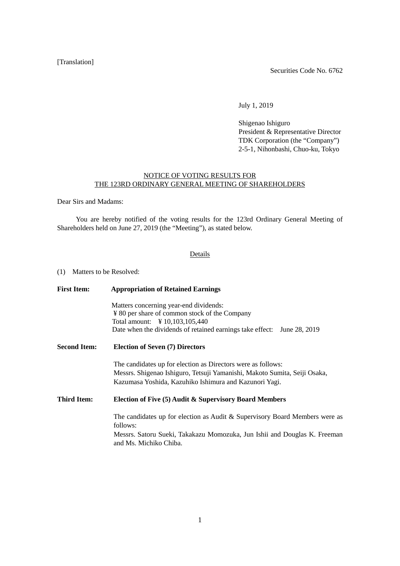## [Translation]

Securities Code No. 6762

July 1, 2019

Shigenao Ishiguro President & Representative Director TDK Corporation (the "Company") 2-5-1, Nihonbashi, Chuo-ku, Tokyo

## NOTICE OF VOTING RESULTS FOR THE 123RD ORDINARY GENERAL MEETING OF SHAREHOLDERS

Dear Sirs and Madams:

You are hereby notified of the voting results for the 123rd Ordinary General Meeting of Shareholders held on June 27, 2019 (the "Meeting"), as stated below.

## Details

(1) Matters to be Resolved:

| <b>First Item:</b>  | <b>Appropriation of Retained Earnings</b>                                                           |  |  |  |  |  |
|---------------------|-----------------------------------------------------------------------------------------------------|--|--|--|--|--|
|                     | Matters concerning year-end dividends:                                                              |  |  |  |  |  |
|                     | ¥ 80 per share of common stock of the Company                                                       |  |  |  |  |  |
|                     | Total amount: ¥ 10,103,105,440                                                                      |  |  |  |  |  |
|                     | Date when the dividends of retained earnings take effect:<br>June 28, 2019                          |  |  |  |  |  |
| <b>Second Item:</b> | <b>Election of Seven (7) Directors</b>                                                              |  |  |  |  |  |
|                     | The candidates up for election as Directors were as follows:                                        |  |  |  |  |  |
|                     | Messrs. Shigenao Ishiguro, Tetsuji Yamanishi, Makoto Sumita, Seiji Osaka,                           |  |  |  |  |  |
|                     | Kazumasa Yoshida, Kazuhiko Ishimura and Kazunori Yagi.                                              |  |  |  |  |  |
| <b>Third Item:</b>  | Election of Five (5) Audit & Supervisory Board Members                                              |  |  |  |  |  |
|                     | The candidates up for election as Audit & Supervisory Board Members were as                         |  |  |  |  |  |
|                     | follows:                                                                                            |  |  |  |  |  |
|                     | Messrs. Satoru Sueki, Takakazu Momozuka, Jun Ishii and Douglas K. Freeman<br>and Ms. Michiko Chiba. |  |  |  |  |  |